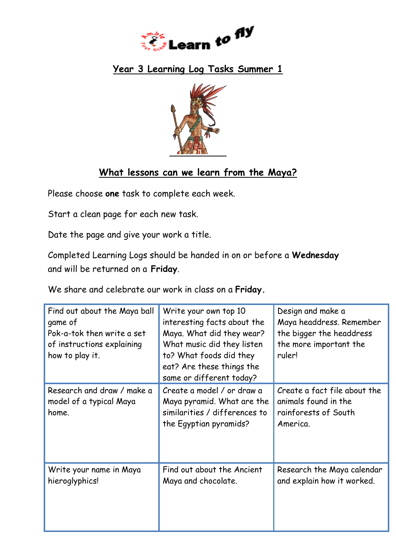

## **Year 3 Learning Log Tasks Summer 1**



## **What lessons can we learn from the Maya?**

Please choose **one** task to complete each week.

Start a clean page for each new task.

Date the page and give your work a title.

Completed Learning Logs should be handed in on or before a **Wednesday**  and will be returned on a **Friday**.

We share and celebrate our work in class on a **Friday.**

| Find out about the Maya ball<br>game of<br>Pok-a-tok then write a set<br>of instructions explaining<br>how to play it. | Write your own top 10<br>interesting facts about the<br>Maya. What did they wear?<br>What music did they listen<br>to? What foods did they<br>eat? Are these things the<br>same or different today? | Design and make a<br>Maya headdress. Remember<br>the bigger the headdress<br>the more important the<br>ruler! |
|------------------------------------------------------------------------------------------------------------------------|-----------------------------------------------------------------------------------------------------------------------------------------------------------------------------------------------------|---------------------------------------------------------------------------------------------------------------|
| Research and draw / make a<br>model of a typical Maya<br>home.                                                         | Create a model / or draw a<br>Maya pyramid. What are the<br>similarities / differences to<br>the Egyptian pyramids?                                                                                 | Create a fact file about the<br>animals found in the<br>rainforests of South<br>America.                      |
| Write your name in Maya<br>hieroglyphics!                                                                              | Find out about the Ancient<br>Maya and chocolate.                                                                                                                                                   | Research the Maya calendar<br>and explain how it worked.                                                      |